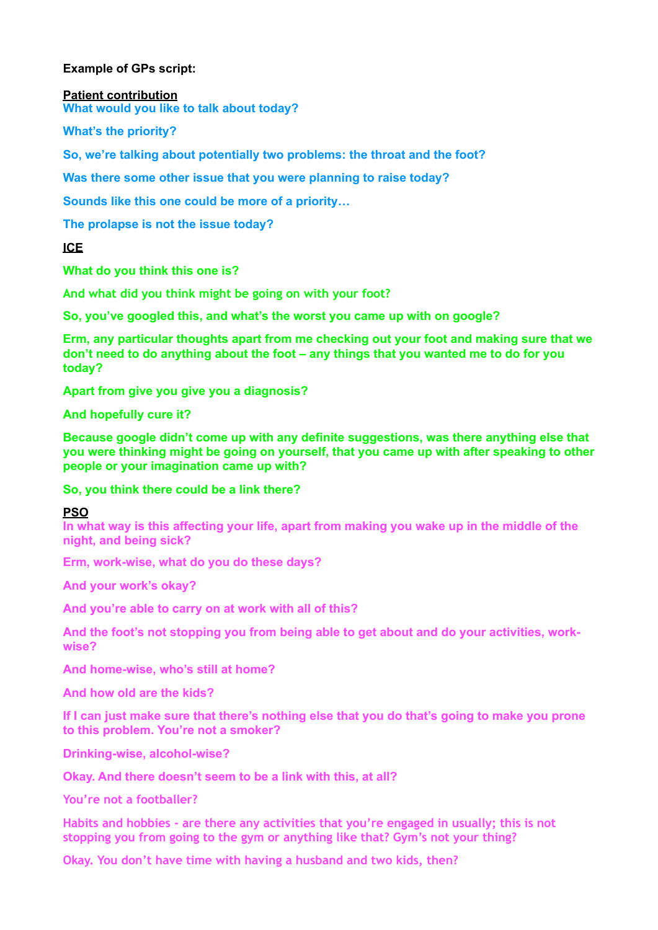## **Example of GPs script:**

#### **Patient contribution**

**What would you like to talk about today?** 

**What's the priority?** 

**So, we're talking about potentially two problems: the throat and the foot?** 

**Was there some other issue that you were planning to raise today?** 

**Sounds like this one could be more of a priority…** 

**The prolapse is not the issue today?** 

**ICE** 

**What do you think this one is?**

**And what did you think might be going on with your foot?** 

**So, you've googled this, and what's the worst you came up with on google?** 

**Erm, any particular thoughts apart from me checking out your foot and making sure that we don't need to do anything about the foot – any things that you wanted me to do for you today?** 

**Apart from give you give you a diagnosis?** 

**And hopefully cure it?** 

**Because google didn't come up with any definite suggestions, was there anything else that you were thinking might be going on yourself, that you came up with after speaking to other people or your imagination came up with?** 

**So, you think there could be a link there?**

**PSO** 

**In what way is this affecting your life, apart from making you wake up in the middle of the night, and being sick?** 

**Erm, work-wise, what do you do these days?** 

**And your work's okay?** 

**And you're able to carry on at work with all of this?** 

**And the foot's not stopping you from being able to get about and do your activities, workwise?** 

**And home-wise, who's still at home?** 

**And how old are the kids?** 

**If I can just make sure that there's nothing else that you do that's going to make you prone to this problem. You're not a smoker?** 

**Drinking-wise, alcohol-wise?** 

**Okay. And there doesn't seem to be a link with this, at all?**

**You're not a footballer?** 

**Habits and hobbies - are there any activities that you're engaged in usually; this is not stopping you from going to the gym or anything like that? Gym's not your thing?** 

**Okay. You don't have time with having a husband and two kids, then?**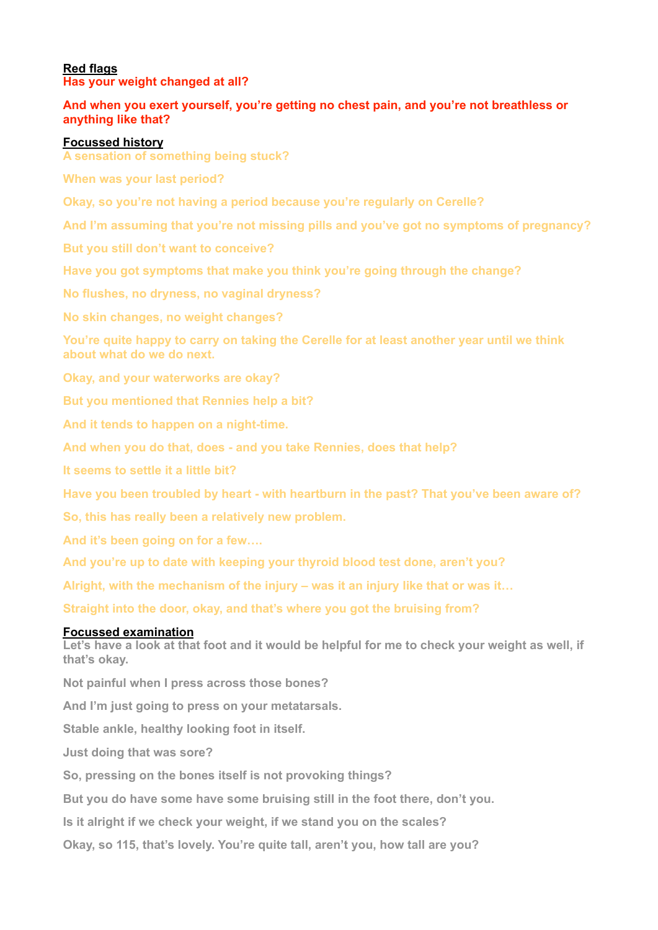## **Red flags Has your weight changed at all?**

# **And when you exert yourself, you're getting no chest pain, and you're not breathless or anything like that?**

## **Focussed history**

**A sensation of something being stuck?** 

**When was your last period?** 

**Okay, so you're not having a period because you're regularly on Cerelle?** 

**And I'm assuming that you're not missing pills and you've got no symptoms of pregnancy?** 

**But you still don't want to conceive?** 

**Have you got symptoms that make you think you're going through the change?** 

**No flushes, no dryness, no vaginal dryness?** 

**No skin changes, no weight changes?** 

**You're quite happy to carry on taking the Cerelle for at least another year until we think about what do we do next.** 

**Okay, and your waterworks are okay?** 

**But you mentioned that Rennies help a bit?** 

**And it tends to happen on a night-time.** 

**And when you do that, does - and you take Rennies, does that help?** 

**It seems to settle it a little bit?** 

**Have you been troubled by heart - with heartburn in the past? That you've been aware of?** 

**So, this has really been a relatively new problem.** 

**And it's been going on for a few….**

**And you're up to date with keeping your thyroid blood test done, aren't you?** 

**Alright, with the mechanism of the injury – was it an injury like that or was it…** 

**Straight into the door, okay, and that's where you got the bruising from?** 

## **Focussed examination**

Let's have a look at that foot and it would be helpful for me to check your weight as well, if **that's okay.**

**Not painful when I press across those bones?** 

**And I'm just going to press on your metatarsals.** 

**Stable ankle, healthy looking foot in itself.** 

**Just doing that was sore?** 

**So, pressing on the bones itself is not provoking things?** 

**But you do have some have some bruising still in the foot there, don't you.**

**Is it alright if we check your weight, if we stand you on the scales?** 

**Okay, so 115, that's lovely. You're quite tall, aren't you, how tall are you?**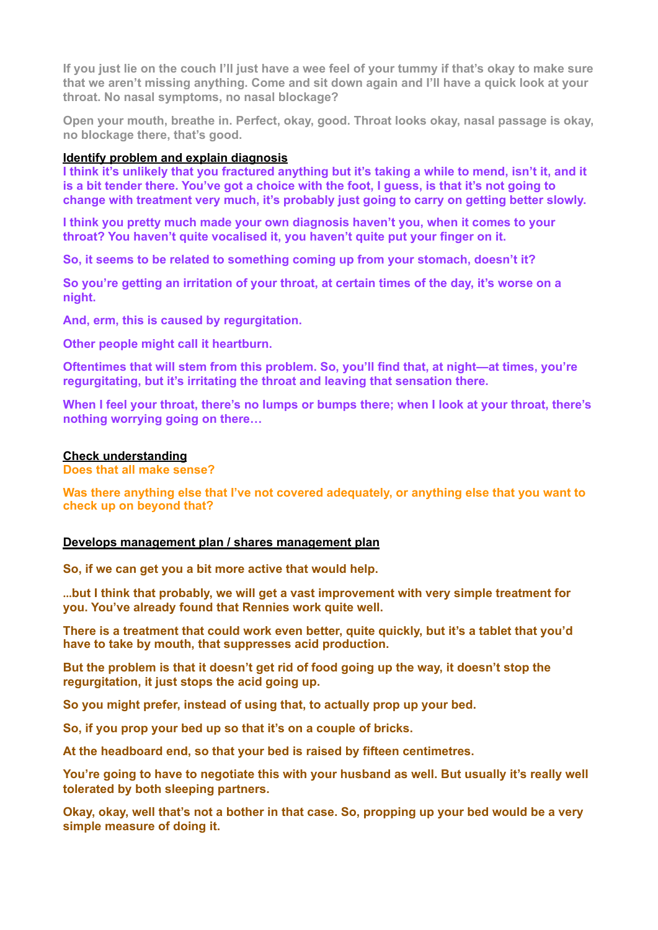**If you just lie on the couch I'll just have a wee feel of your tummy if that's okay to make sure that we aren't missing anything. Come and sit down again and I'll have a quick look at your throat. No nasal symptoms, no nasal blockage?** 

**Open your mouth, breathe in. Perfect, okay, good. Throat looks okay, nasal passage is okay, no blockage there, that's good.** 

#### **Identify problem and explain diagnosis**

**I think it's unlikely that you fractured anything but it's taking a while to mend, isn't it, and it is a bit tender there. You've got a choice with the foot, I guess, is that it's not going to change with treatment very much, it's probably just going to carry on getting better slowly.** 

**I think you pretty much made your own diagnosis haven't you, when it comes to your throat? You haven't quite vocalised it, you haven't quite put your finger on it.**

**So, it seems to be related to something coming up from your stomach, doesn't it?** 

**So you're getting an irritation of your throat, at certain times of the day, it's worse on a night.** 

**And, erm, this is caused by regurgitation.** 

**Other people might call it heartburn.** 

**Oftentimes that will stem from this problem. So, you'll find that, at night—at times, you're regurgitating, but it's irritating the throat and leaving that sensation there.** 

**When I feel your throat, there's no lumps or bumps there; when I look at your throat, there's nothing worrying going on there…**

#### **Check understanding**

**Does that all make sense?** 

**Was there anything else that I've not covered adequately, or anything else that you want to check up on beyond that?**

#### **Develops management plan / shares management plan**

**So, if we can get you a bit more active that would help.**

…**but I think that probably, we will get a vast improvement with very simple treatment for you. You've already found that Rennies work quite well.** 

**There is a treatment that could work even better, quite quickly, but it's a tablet that you'd have to take by mouth, that suppresses acid production.** 

**But the problem is that it doesn't get rid of food going up the way, it doesn't stop the regurgitation, it just stops the acid going up.** 

**So you might prefer, instead of using that, to actually prop up your bed.** 

**So, if you prop your bed up so that it's on a couple of bricks.** 

**At the headboard end, so that your bed is raised by fifteen centimetres.** 

**You're going to have to negotiate this with your husband as well. But usually it's really well tolerated by both sleeping partners.** 

**Okay, okay, well that's not a bother in that case. So, propping up your bed would be a very simple measure of doing it.**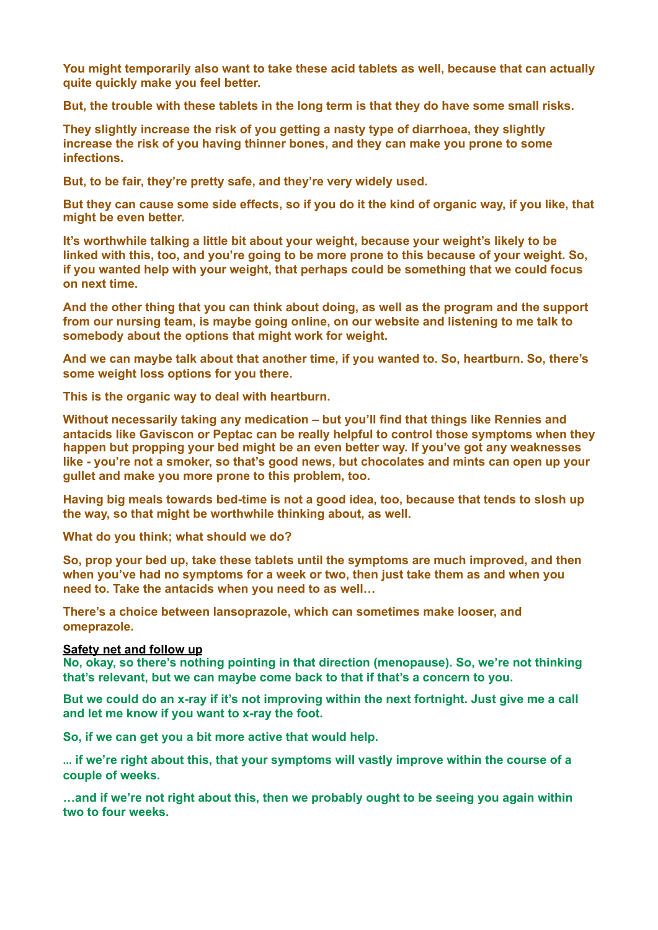**You might temporarily also want to take these acid tablets as well, because that can actually quite quickly make you feel better.** 

**But, the trouble with these tablets in the long term is that they do have some small risks.** 

**They slightly increase the risk of you getting a nasty type of diarrhoea, they slightly increase the risk of you having thinner bones, and they can make you prone to some infections.** 

**But, to be fair, they're pretty safe, and they're very widely used.** 

**But they can cause some side effects, so if you do it the kind of organic way, if you like, that might be even better.** 

**It's worthwhile talking a little bit about your weight, because your weight's likely to be linked with this, too, and you're going to be more prone to this because of your weight. So, if you wanted help with your weight, that perhaps could be something that we could focus on next time.** 

**And the other thing that you can think about doing, as well as the program and the support from our nursing team, is maybe going online, on our website and listening to me talk to somebody about the options that might work for weight.** 

**And we can maybe talk about that another time, if you wanted to. So, heartburn. So, there's some weight loss options for you there.** 

**This is the organic way to deal with heartburn.** 

**Without necessarily taking any medication – but you'll find that things like Rennies and antacids like Gaviscon or Peptac can be really helpful to control those symptoms when they happen but propping your bed might be an even better way. If you've got any weaknesses like - you're not a smoker, so that's good news, but chocolates and mints can open up your gullet and make you more prone to this problem, too.** 

**Having big meals towards bed-time is not a good idea, too, because that tends to slosh up the way, so that might be worthwhile thinking about, as well.** 

**What do you think; what should we do?** 

**So, prop your bed up, take these tablets until the symptoms are much improved, and then when you've had no symptoms for a week or two, then just take them as and when you need to. Take the antacids when you need to as well…** 

**There's a choice between lansoprazole, which can sometimes make looser, and omeprazole.**

### **Safety net and follow up**

**No, okay, so there's nothing pointing in that direction (menopause). So, we're not thinking that's relevant, but we can maybe come back to that if that's a concern to you.** 

**But we could do an x-ray if it's not improving within the next fortnight. Just give me a call and let me know if you want to x-ray the foot.** 

**So, if we can get you a bit more active that would help.**

… **if we're right about this, that your symptoms will vastly improve within the course of a couple of weeks.** 

**…and if we're not right about this, then we probably ought to be seeing you again within two to four weeks.**